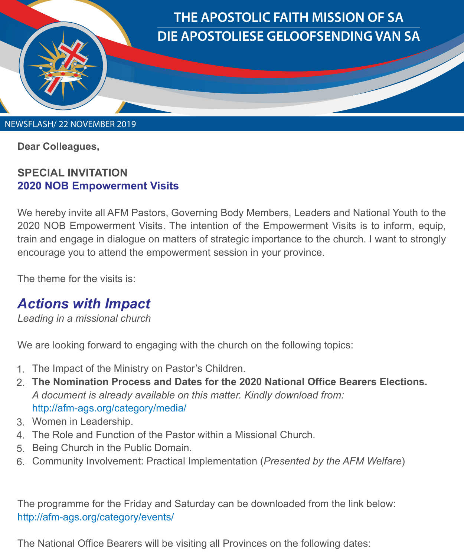

**Dear Colleagues,** 

## **SPECIAL INVITATION 2020 NOB Empowerment Visits**

We hereby invite all AFM Pastors, Governing Body Members, Leaders and National Youth to the 2020 NOB Empowerment Visits. The intention of the Empowerment Visits is to inform, equip, train and engage in dialogue on matters of strategic importance to the church. I want to strongly encourage you to attend the empowerment session in your province.

The theme for the visits is:

## *Actions with Impact*

*Leading in a missional church*

We are looking forward to engaging with the church on the following topics:

- 1. The Impact of the Ministry on Pastor's Children.
- **The Nomination Process and Dates for the 2020 National Office Bearers Elections.** 2. *A document is already available on this matter. Kindly download from:*  http://afm-ags.org/category/media/
- Women in Leadership. 3.
- The Role and Function of the Pastor within a Missional Church. 4.
- 5. Being Church in the Public Domain.
- 6. Community Involvement: Practical Implementation (*Presented by the AFM Welfare*)

The programme for the Friday and Saturday can be downloaded from the link below: http://afm-ags.org/category/events/

The National Office Bearers will be visiting all Provinces on the following dates: